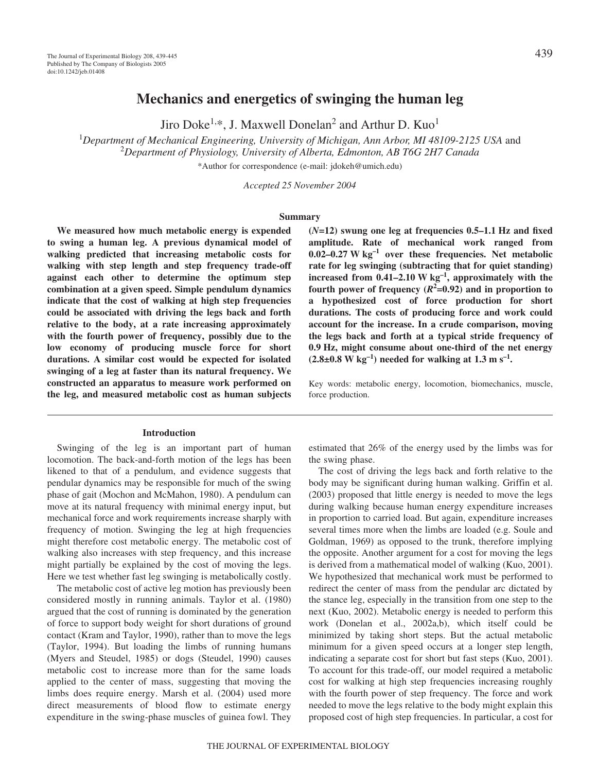# **Mechanics and energetics of swinging the human leg**

Jiro Doke<sup>1,\*</sup>, J. Maxwell Donelan<sup>2</sup> and Arthur D. Kuo<sup>1</sup>

1 *Department of Mechanical Engineering, University of Michigan, Ann Arbor, MI 48109-2125 USA* and 2 *Department of Physiology, University of Alberta, Edmonton, AB T6G 2H7 Canada* \*Author for correspondence (e-mail: jdokeh@umich.edu)

*Accepted 25 November 2004*

### **Summary**

**We measured how much metabolic energy is expended to swing a human leg. A previous dynamical model of walking predicted that increasing metabolic costs for walking with step length and step frequency trade-off against each other to determine the optimum step combination at a given speed. Simple pendulum dynamics indicate that the cost of walking at high step frequencies could be associated with driving the legs back and forth relative to the body, at a rate increasing approximately with the fourth power of frequency, possibly due to the low economy of producing muscle force for short durations. A similar cost would be expected for isolated swinging of a leg at faster than its natural frequency. We constructed an apparatus to measure work performed on the leg, and measured metabolic cost as human subjects**

## **Introduction**

Swinging of the leg is an important part of human locomotion. The back-and-forth motion of the legs has been likened to that of a pendulum, and evidence suggests that pendular dynamics may be responsible for much of the swing phase of gait (Mochon and McMahon, 1980). A pendulum can move at its natural frequency with minimal energy input, but mechanical force and work requirements increase sharply with frequency of motion. Swinging the leg at high frequencies might therefore cost metabolic energy. The metabolic cost of walking also increases with step frequency, and this increase might partially be explained by the cost of moving the legs. Here we test whether fast leg swinging is metabolically costly.

The metabolic cost of active leg motion has previously been considered mostly in running animals. Taylor et al. (1980) argued that the cost of running is dominated by the generation of force to support body weight for short durations of ground contact (Kram and Taylor, 1990), rather than to move the legs (Taylor, 1994). But loading the limbs of running humans (Myers and Steudel, 1985) or dogs (Steudel, 1990) causes metabolic cost to increase more than for the same loads applied to the center of mass, suggesting that moving the limbs does require energy. Marsh et al. (2004) used more direct measurements of blood flow to estimate energy expenditure in the swing-phase muscles of guinea fowl. They

**(***N***=12) swung one leg at frequencies 0.5–1.1·Hz and fixed amplitude. Rate of mechanical work ranged from**  $0.02-0.27 \text{ W kg}^{-1}$  over these frequencies. Net metabolic **rate for leg swinging (subtracting that for quiet standing)** increased from 0.41–2.10 W kg<sup>-1</sup>, approximately with the **fourth power of frequency (***R***<sup>2</sup> =0.92) and in proportion to a hypothesized cost of force production for short durations. The costs of producing force and work could account for the increase. In a crude comparison, moving the legs back and forth at a typical stride frequency of 0.9·Hz, might consume about one-third of the net energy**  $(2.8\pm0.8~\text{W kg}^{-1})$  needed for walking at 1.3 m s<sup>-1</sup>.

Key words: metabolic energy, locomotion, biomechanics, muscle, force production.

estimated that 26% of the energy used by the limbs was for the swing phase.

The cost of driving the legs back and forth relative to the body may be significant during human walking. Griffin et al. (2003) proposed that little energy is needed to move the legs during walking because human energy expenditure increases in proportion to carried load. But again, expenditure increases several times more when the limbs are loaded (e.g. Soule and Goldman, 1969) as opposed to the trunk, therefore implying the opposite. Another argument for a cost for moving the legs is derived from a mathematical model of walking (Kuo, 2001). We hypothesized that mechanical work must be performed to redirect the center of mass from the pendular arc dictated by the stance leg, especially in the transition from one step to the next (Kuo, 2002). Metabolic energy is needed to perform this work (Donelan et al., 2002a,b), which itself could be minimized by taking short steps. But the actual metabolic minimum for a given speed occurs at a longer step length, indicating a separate cost for short but fast steps (Kuo, 2001). To account for this trade-off, our model required a metabolic cost for walking at high step frequencies increasing roughly with the fourth power of step frequency. The force and work needed to move the legs relative to the body might explain this proposed cost of high step frequencies. In particular, a cost for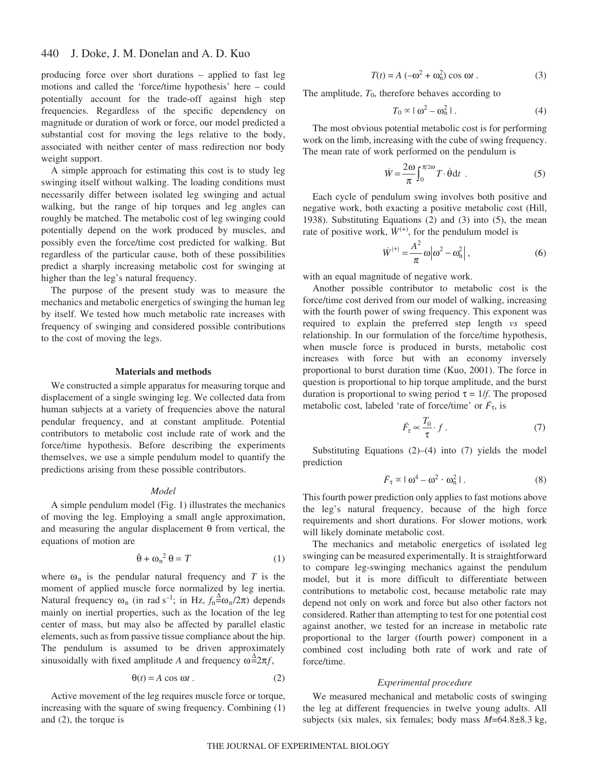#### 440 J. Doke, J. M. Donelan and A. D. Kuo

producing force over short durations – applied to fast leg motions and called the 'force/time hypothesis' here – could potentially account for the trade-off against high step frequencies. Regardless of the specific dependency on magnitude or duration of work or force, our model predicted a substantial cost for moving the legs relative to the body, associated with neither center of mass redirection nor body weight support.

A simple approach for estimating this cost is to study leg swinging itself without walking. The loading conditions must necessarily differ between isolated leg swinging and actual walking, but the range of hip torques and leg angles can roughly be matched. The metabolic cost of leg swinging could potentially depend on the work produced by muscles, and possibly even the force/time cost predicted for walking. But regardless of the particular cause, both of these possibilities predict a sharply increasing metabolic cost for swinging at higher than the leg's natural frequency.

The purpose of the present study was to measure the mechanics and metabolic energetics of swinging the human leg by itself. We tested how much metabolic rate increases with frequency of swinging and considered possible contributions to the cost of moving the legs.

### **Materials and methods**

We constructed a simple apparatus for measuring torque and displacement of a single swinging leg. We collected data from human subjects at a variety of frequencies above the natural pendular frequency, and at constant amplitude. Potential contributors to metabolic cost include rate of work and the force/time hypothesis. Before describing the experiments themselves, we use a simple pendulum model to quantify the predictions arising from these possible contributors.

#### *Model*

A simple pendulum model (Fig. 1) illustrates the mechanics of moving the leg. Employing a small angle approximation, and measuring the angular displacement  $\theta$  from vertical, the equations of motion are

$$
\dot{\theta} + \omega_n^2 \theta = T \tag{1}
$$

where  $\omega_n$  is the pendular natural frequency and *T* is the moment of applied muscle force normalized by leg inertia. Natural frequency  $\omega_n$  (in rad s<sup>-1</sup>; in Hz,  $f_n \triangleq \omega_n / 2\pi$ ) depends mainly on inertial properties, such as the location of the leg center of mass, but may also be affected by parallel elastic elements, such as from passive tissue compliance about the hip. The pendulum is assumed to be driven approximately sinusoidally with fixed amplitude *A* and frequency  $\omega \triangleq 2\pi f$ ,

$$
\Theta(t) = A \cos \omega t \,. \tag{2}
$$

Active movement of the leg requires muscle force or torque, increasing with the square of swing frequency. Combining (1) and (2), the torque is

$$
T(t) = A \left(-\omega^2 + \omega_{\rm n}^2\right) \cos \omega t \,. \tag{3}
$$

The amplitude,  $T_0$ , therefore behaves according to

$$
T_0 \propto |\omega^2 - \omega_n^2| \,. \tag{4}
$$

The most obvious potential metabolic cost is for performing work on the limb, increasing with the cube of swing frequency. The mean rate of work performed on the pendulum is

$$
\dot{W} = \frac{2\omega}{\pi} \int_0^{\pi/2\omega} T \cdot \dot{\theta} dt \quad . \tag{5}
$$

Each cycle of pendulum swing involves both positive and negative work, both exacting a positive metabolic cost (Hill, 1938). Substituting Equations (2) and (3) into (5), the mean rate of positive work,  $\dot{W}^{(+)}$ , for the pendulum model is

$$
\dot{W}^{(+)} = \frac{A^2}{\pi} \omega \left| \omega^2 - \omega_n^2 \right|,\tag{6}
$$

with an equal magnitude of negative work.

Another possible contributor to metabolic cost is the force/time cost derived from our model of walking, increasing with the fourth power of swing frequency. This exponent was required to explain the preferred step length *vs* speed relationship. In our formulation of the force/time hypothesis, when muscle force is produced in bursts, metabolic cost increases with force but with an economy inversely proportional to burst duration time (Kuo, 2001). The force in question is proportional to hip torque amplitude, and the burst duration is proportional to swing period  $\tau = 1/f$ . The proposed metabolic cost, labeled 'rate of force/time' or  $\vec{F}_{\tau}$ , is

$$
\dot{F}_{\tau} \propto \frac{T_0}{\tau} \cdot f \,. \tag{7}
$$

Substituting Equations  $(2)$ – $(4)$  into  $(7)$  yields the model prediction

$$
\dot{F}_{\tau} \propto |\omega^4 - \omega^2 \cdot \omega_{\rm n}^2| \,. \tag{8}
$$

This fourth power prediction only applies to fast motions above the leg's natural frequency, because of the high force requirements and short durations. For slower motions, work will likely dominate metabolic cost.

The mechanics and metabolic energetics of isolated leg swinging can be measured experimentally. It is straightforward to compare leg-swinging mechanics against the pendulum model, but it is more difficult to differentiate between contributions to metabolic cost, because metabolic rate may depend not only on work and force but also other factors not considered. Rather than attempting to test for one potential cost against another, we tested for an increase in metabolic rate proportional to the larger (fourth power) component in a combined cost including both rate of work and rate of force/time.

# *Experimental procedure*

We measured mechanical and metabolic costs of swinging the leg at different frequencies in twelve young adults. All subjects (six males, six females; body mass  $M=64.8\pm8.3$  kg,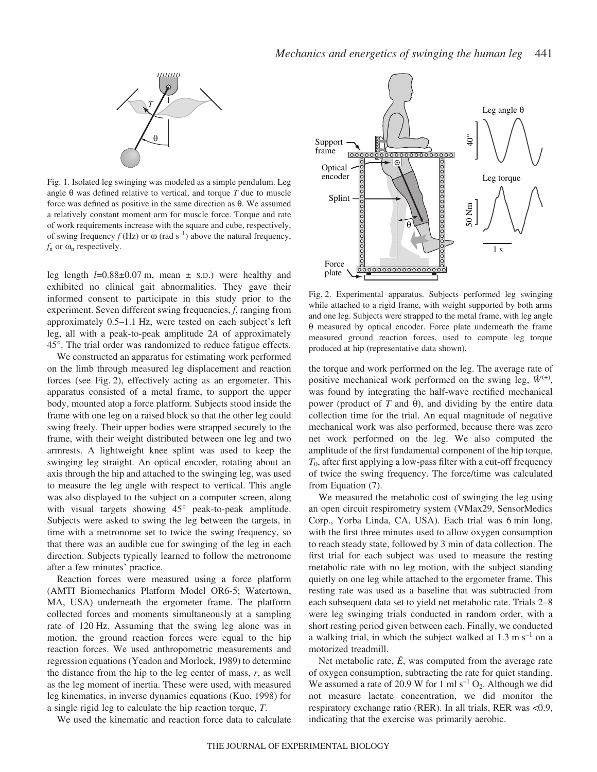

Fig. 1. Isolated leg swinging was modeled as a simple pendulum. Leg angle  $\theta$  was defined relative to vertical, and torque *T* due to muscle force was defined as positive in the same direction as θ. We assumed a relatively constant moment arm for muscle force. Torque and rate of work requirements increase with the square and cube, respectively, of swing frequency  $f$  (Hz) or  $\omega$  (rad s<sup>-1</sup>) above the natural frequency, *f*<sup>n</sup> or ω<sup>n</sup> respectively.

leg length  $l=0.88\pm0.07$  m, mean  $\pm$  s.D.) were healthy and exhibited no clinical gait abnormalities. They gave their informed consent to participate in this study prior to the experiment. Seven different swing frequencies, *f*, ranging from approximately 0.5–1.1 Hz, were tested on each subject's left leg, all with a peak-to-peak amplitude 2*A* of approximately 45°. The trial order was randomized to reduce fatigue effects.

We constructed an apparatus for estimating work performed on the limb through measured leg displacement and reaction forces (see Fig. 2), effectively acting as an ergometer. This apparatus consisted of a metal frame, to support the upper body, mounted atop a force platform. Subjects stood inside the frame with one leg on a raised block so that the other leg could swing freely. Their upper bodies were strapped securely to the frame, with their weight distributed between one leg and two armrests. A lightweight knee splint was used to keep the swinging leg straight. An optical encoder, rotating about an axis through the hip and attached to the swinging leg, was used to measure the leg angle with respect to vertical. This angle was also displayed to the subject on a computer screen, along with visual targets showing 45° peak-to-peak amplitude. Subjects were asked to swing the leg between the targets, in time with a metronome set to twice the swing frequency, so that there was an audible cue for swinging of the leg in each direction. Subjects typically learned to follow the metronome after a few minutes' practice.

Reaction forces were measured using a force platform (AMTI Biomechanics Platform Model OR6-5; Watertown, MA, USA) underneath the ergometer frame. The platform collected forces and moments simultaneously at a sampling rate of 120 Hz. Assuming that the swing leg alone was in motion, the ground reaction forces were equal to the hip reaction forces. We used anthropometric measurements and regression equations (Yeadon and Morlock, 1989) to determine the distance from the hip to the leg center of mass, *r*, as well as the leg moment of inertia. These were used, with measured leg kinematics, in inverse dynamics equations (Kuo, 1998) for a single rigid leg to calculate the hip reaction torque, *T*.

We used the kinematic and reaction force data to calculate



Fig. 2. Experimental apparatus. Subjects performed leg swinging while attached to a rigid frame, with weight supported by both arms and one leg. Subjects were strapped to the metal frame, with leg angle θ measured by optical encoder. Force plate underneath the frame measured ground reaction forces, used to compute leg torque produced at hip (representative data shown).

the torque and work performed on the leg. The average rate of positive mechanical work performed on the swing leg,  $\dot{W}^{(+)}$ , was found by integrating the half-wave rectified mechanical power (product of *T* and  $\dot{\theta}$ ), and dividing by the entire data collection time for the trial. An equal magnitude of negative mechanical work was also performed, because there was zero net work performed on the leg. We also computed the amplitude of the first fundamental component of the hip torque,  $T_0$ , after first applying a low-pass filter with a cut-off frequency of twice the swing frequency. The force/time was calculated from Equation (7).

We measured the metabolic cost of swinging the leg using an open circuit respirometry system (VMax29, SensorMedics Corp., Yorba Linda, CA, USA). Each trial was 6 min long, with the first three minutes used to allow oxygen consumption to reach steady state, followed by 3 min of data collection. The first trial for each subject was used to measure the resting metabolic rate with no leg motion, with the subject standing quietly on one leg while attached to the ergometer frame. This resting rate was used as a baseline that was subtracted from each subsequent data set to yield net metabolic rate. Trials 2–8 were leg swinging trials conducted in random order, with a short resting period given between each. Finally, we conducted a walking trial, in which the subject walked at  $1.3~\mathrm{m~s}^{-1}$  on a motorized treadmill.

Net metabolic rate,  $\dot{E}$ , was computed from the average rate of oxygen consumption, subtracting the rate for quiet standing. We assumed a rate of 20.9 W for 1 ml  $s^{-1}$  O<sub>2</sub>. Although we did not measure lactate concentration, we did monitor the respiratory exchange ratio (RER). In all trials, RER was <0.9, indicating that the exercise was primarily aerobic.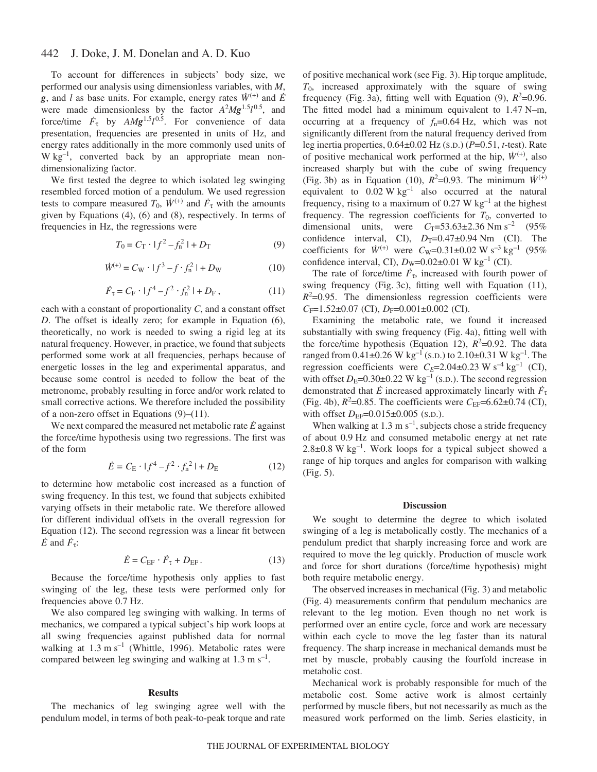#### 442 J. Doke, J. M. Donelan and A. D. Kuo

To account for differences in subjects' body size, we performed our analysis using dimensionless variables, with *M*,  $g$ , and *l* as base units. For example, energy rates  $\dot{W}^{(+)}$  and  $\dot{E}$ were made dimensionless by the factor  $A^2Mg^{1.5}l^{0.5}$ , and force/time  $\dot{F}_{\tau}$  by  $AMg^{1.5}l^{0.5}$ . For convenience of data presentation, frequencies are presented in units of Hz, and energy rates additionally in the more commonly used units of  $W \text{ kg}^{-1}$ , converted back by an appropriate mean nondimensionalizing factor.

We first tested the degree to which isolated leg swinging resembled forced motion of a pendulum. We used regression tests to compare measured  $T_0$ ,  $\dot{W}^{(+)}$  and  $\dot{F}_{\tau}$  with the amounts given by Equations (4), (6) and (8), respectively. In terms of frequencies in Hz, the regressions were

$$
T_0 = C_T \cdot |f^2 - f_n^2| + D_T \tag{9}
$$

$$
\dot{W}^{(+)} = C_W \cdot |f^3 - f \cdot f_n^2| + D_W \tag{10}
$$

$$
\dot{F}_{\tau} = C_{\rm F} \cdot |f^4 - f^2 \cdot f_{\rm n}^2| + D_{\rm F}, \qquad (11)
$$

each with a constant of proportionality *C*, and a constant offset *D*. The offset is ideally zero; for example in Equation (6), theoretically, no work is needed to swing a rigid leg at its natural frequency. However, in practice, we found that subjects performed some work at all frequencies, perhaps because of energetic losses in the leg and experimental apparatus, and because some control is needed to follow the beat of the metronome, probably resulting in force and/or work related to small corrective actions. We therefore included the possibility of a non-zero offset in Equations (9)–(11).

We next compared the measured net metabolic rate *E* against the force/time hypothesis using two regressions. The first was of the form

$$
\dot{E} = C_{\rm E} \cdot |f^4 - f^2 \cdot f_{\rm n}^2| + D_{\rm E}
$$
 (12)

to determine how metabolic cost increased as a function of swing frequency. In this test, we found that subjects exhibited varying offsets in their metabolic rate. We therefore allowed for different individual offsets in the overall regression for Equation (12). The second regression was a linear fit between *E* and  $\dot{F}_{\tau}$ :

$$
\dot{E} = C_{\rm EF} \cdot \dot{F}_{\tau} + D_{\rm EF} \,. \tag{13}
$$

Because the force/time hypothesis only applies to fast swinging of the leg, these tests were performed only for frequencies above 0.7 Hz.

We also compared leg swinging with walking. In terms of mechanics, we compared a typical subject's hip work loops at all swing frequencies against published data for normal walking at  $1.3 \text{ m s}^{-1}$  (Whittle, 1996). Metabolic rates were compared between leg swinging and walking at  $1.3 \text{ m s}^{-1}$ .

# **Results**

The mechanics of leg swinging agree well with the pendulum model, in terms of both peak-to-peak torque and rate of positive mechanical work (see Fig. 3). Hip torque amplitude, *T*0, increased approximately with the square of swing frequency (Fig. 3a), fitting well with Equation (9),  $R^2$ =0.96. The fitted model had a minimum equivalent to  $1.47$  N–m, occurring at a frequency of  $f_n=0.64$  Hz, which was not significantly different from the natural frequency derived from leg inertia properties, 0.64±0.02·Hz (S.D.) (*P*=0.51, *t*-test). Rate of positive mechanical work performed at the hip,  $\dot{W}^{(+)}$ , also increased sharply but with the cube of swing frequency (Fig. 3b) as in Equation (10),  $R^2$ =0.93. The minimum  $\dot{W}^{(+)}$ equivalent to  $0.02 \text{ W kg}^{-1}$  also occurred at the natural frequency, rising to a maximum of  $0.27 \text{ W kg}^{-1}$  at the highest frequency. The regression coefficients for  $T_0$ , converted to dimensional units, were  $C_T=53.63\pm2.36$  Nm s<sup>-2</sup> (95%) confidence interval, CI),  $D_T=0.47\pm0.94$  Nm (CI). The coefficients for  $\dot{W}^{(+)}$  were  $C_{\text{W}}=0.31\pm0.02 \text{ W s}^{-3} \text{ kg}^{-1}$  (95%) confidence interval, CI),  $D_W=0.02\pm0.01$  W kg<sup>-1</sup> (CI).

The rate of force/time  $\vec{F}_\tau$ , increased with fourth power of swing frequency (Fig. 3c), fitting well with Equation (11),  $R<sup>2</sup>=0.95$ . The dimensionless regression coefficients were  $C_F=1.52\pm0.07$  (CI),  $D_F=0.001\pm0.002$  (CI).

Examining the metabolic rate, we found it increased substantially with swing frequency (Fig. 4a), fitting well with the force/time hypothesis (Equation 12),  $R^2 = 0.92$ . The data ranged from  $0.41\pm0.26$  W kg<sup>-1</sup> (S.D.) to  $2.10\pm0.31$  W kg<sup>-1</sup>. The regression coefficients were  $C_E=2.04\pm0.23$  W s<sup>-4</sup> kg<sup>-1</sup> (CI), with offset  $D_E=0.30\pm0.22$  W kg<sup>-1</sup> (s.p.). The second regression demonstrated that  $\dot{E}$  increased approximately linearly with  $\dot{F}_{\tau}$ (Fig. 4b),  $R^2$ =0.85. The coefficients were  $C_{EF}=6.62\pm0.74$  (CI), with offset  $D_{EF}$ =0.015±0.005 (s.p.).

When walking at 1.3 m  $s^{-1}$ , subjects chose a stride frequency of about 0.9 Hz and consumed metabolic energy at net rate  $2.8\pm0.8~\text{W kg}^{-1}$ . Work loops for a typical subject showed a range of hip torques and angles for comparison with walking  $(Fig. 5)$ .

## **Discussion**

We sought to determine the degree to which isolated swinging of a leg is metabolically costly. The mechanics of a pendulum predict that sharply increasing force and work are required to move the leg quickly. Production of muscle work and force for short durations (force/time hypothesis) might both require metabolic energy.

The observed increases in mechanical (Fig. 3) and metabolic (Fig. 4) measurements confirm that pendulum mechanics are relevant to the leg motion. Even though no net work is performed over an entire cycle, force and work are necessary within each cycle to move the leg faster than its natural frequency. The sharp increase in mechanical demands must be met by muscle, probably causing the fourfold increase in metabolic cost.

Mechanical work is probably responsible for much of the metabolic cost. Some active work is almost certainly performed by muscle fibers, but not necessarily as much as the measured work performed on the limb. Series elasticity, in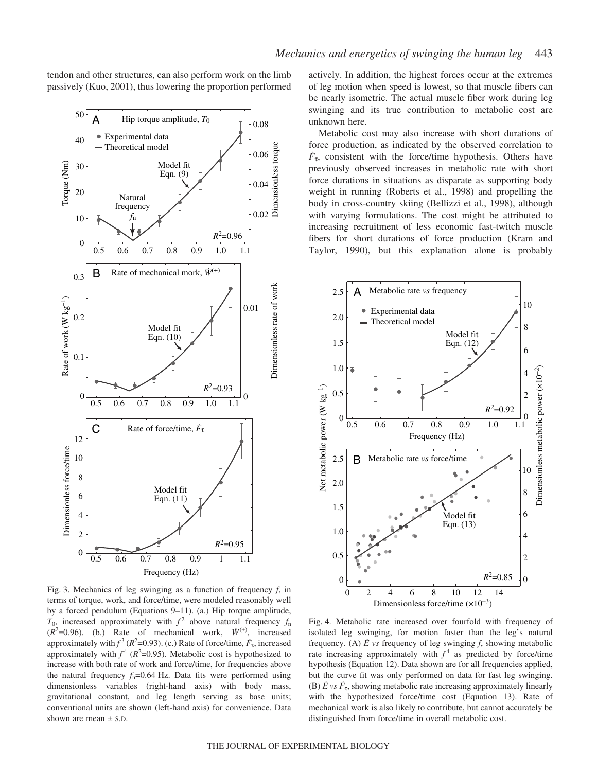tendon and other structures, can also perform work on the limb passively (Kuo, 2001), thus lowering the proportion performed



Fig. 3. Mechanics of leg swinging as a function of frequency  $f$ , in terms of torque, work, and force/time, were modeled reasonably well by a forced pendulum (Equations 9–11). (a.) Hip torque amplitude,  $T_0$ , increased approximately with  $f^2$  above natural frequency  $f_n$  $(R^2=0.96)$ . (b.) Rate of mechanical work,  $\dot{W}^{(+)}$ , increased approximately with  $f^3$  ( $R^2$ =0.93). (c.) Rate of force/time,  $\dot{F}_\tau$ , increased approximately with  $f^4$  ( $R^2$ =0.95). Metabolic cost is hypothesized to increase with both rate of work and force/time, for frequencies above the natural frequency  $f_n=0.64$  Hz. Data fits were performed using dimensionless variables (right-hand axis) with body mass, gravitational constant, and leg length serving as base units; conventional units are shown (left-hand axis) for convenience. Data shown are mean  $\pm$  s.D.

actively. In addition, the highest forces occur at the extremes of leg motion when speed is lowest, so that muscle fibers can be nearly isometric. The actual muscle fiber work during leg swinging and its true contribution to metabolic cost are unknown here.

Metabolic cost may also increase with short durations of force production, as indicated by the observed correlation to  $\dot{F}_{\tau}$ , consistent with the force/time hypothesis. Others have previously observed increases in metabolic rate with short force durations in situations as disparate as supporting body weight in running (Roberts et al., 1998) and propelling the body in cross-country skiing (Bellizzi et al., 1998), although with varying formulations. The cost might be attributed to increasing recruitment of less economic fast-twitch muscle fibers for short durations of force production (Kram and Taylor, 1990), but this explanation alone is probably



Fig. 4. Metabolic rate increased over fourfold with frequency of isolated leg swinging, for motion faster than the leg's natural frequency. (A)  $\dot{E}$  *vs* frequency of leg swinging  $f$ , showing metabolic rate increasing approximately with  $f<sup>4</sup>$  as predicted by force/time hypothesis (Equation 12). Data shown are for all frequencies applied, but the curve fit was only performed on data for fast leg swinging. (B)  $\dot{E}$  *vs*  $\dot{F}_{\tau}$ , showing metabolic rate increasing approximately linearly with the hypothesized force/time cost (Equation 13). Rate of mechanical work is also likely to contribute, but cannot accurately be distinguished from force/time in overall metabolic cost.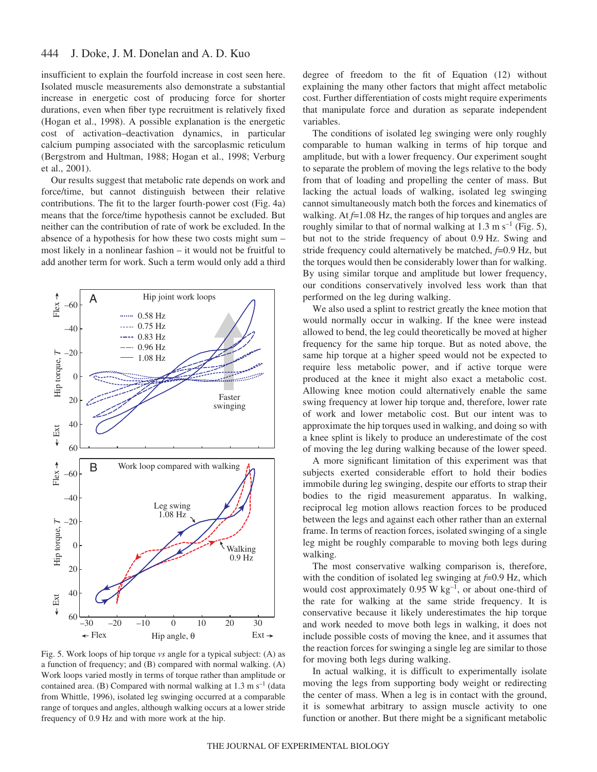#### 444 J. Doke, J. M. Donelan and A. D. Kuo

insufficient to explain the fourfold increase in cost seen here. Isolated muscle measurements also demonstrate a substantial increase in energetic cost of producing force for shorter durations, even when fiber type recruitment is relatively fixed (Hogan et al., 1998). A possible explanation is the energetic cost of activation–deactivation dynamics, in particular calcium pumping associated with the sarcoplasmic reticulum (Bergstrom and Hultman, 1988; Hogan et al., 1998; Verburg et al., 2001).

Our results suggest that metabolic rate depends on work and force/time, but cannot distinguish between their relative contributions. The fit to the larger fourth-power cost (Fig. 4a) means that the force/time hypothesis cannot be excluded. But neither can the contribution of rate of work be excluded. In the absence of a hypothesis for how these two costs might sum – most likely in a nonlinear fashion – it would not be fruitful to add another term for work. Such a term would only add a third



Fig. 5. Work loops of hip torque *vs* angle for a typical subject: (A) as a function of frequency; and (B) compared with normal walking. (A) Work loops varied mostly in terms of torque rather than amplitude or contained area. (B) Compared with normal walking at  $1.3~\mathrm{m~s}^{-1}$  (data from Whittle, 1996), isolated leg swinging occurred at a comparable range of torques and angles, although walking occurs at a lower stride frequency of 0.9 Hz and with more work at the hip.

degree of freedom to the fit of Equation (12) without explaining the many other factors that might affect metabolic cost. Further differentiation of costs might require experiments that manipulate force and duration as separate independent variables.

The conditions of isolated leg swinging were only roughly comparable to human walking in terms of hip torque and amplitude, but with a lower frequency. Our experiment sought to separate the problem of moving the legs relative to the body from that of loading and propelling the center of mass. But lacking the actual loads of walking, isolated leg swinging cannot simultaneously match both the forces and kinematics of walking. At  $f=1.08$  Hz, the ranges of hip torques and angles are roughly similar to that of normal walking at 1.3 m  $s^{-1}$  (Fig. 5), but not to the stride frequency of about 0.9 Hz. Swing and stride frequency could alternatively be matched, *f*=0.9 Hz, but the torques would then be considerably lower than for walking. By using similar torque and amplitude but lower frequency, our conditions conservatively involved less work than that performed on the leg during walking.

We also used a splint to restrict greatly the knee motion that would normally occur in walking. If the knee were instead allowed to bend, the leg could theoretically be moved at higher frequency for the same hip torque. But as noted above, the same hip torque at a higher speed would not be expected to require less metabolic power, and if active torque were produced at the knee it might also exact a metabolic cost. Allowing knee motion could alternatively enable the same swing frequency at lower hip torque and, therefore, lower rate of work and lower metabolic cost. But our intent was to approximate the hip torques used in walking, and doing so with a knee splint is likely to produce an underestimate of the cost of moving the leg during walking because of the lower speed.

A more significant limitation of this experiment was that subjects exerted considerable effort to hold their bodies immobile during leg swinging, despite our efforts to strap their bodies to the rigid measurement apparatus. In walking, reciprocal leg motion allows reaction forces to be produced between the legs and against each other rather than an external frame. In terms of reaction forces, isolated swinging of a single leg might be roughly comparable to moving both legs during walking.

The most conservative walking comparison is, therefore, with the condition of isolated leg swinging at *f*=0.9 Hz, which would cost approximately  $0.95 \text{ W kg}^{-1}$ , or about one-third of the rate for walking at the same stride frequency. It is conservative because it likely underestimates the hip torque and work needed to move both legs in walking, it does not include possible costs of moving the knee, and it assumes that the reaction forces for swinging a single leg are similar to those for moving both legs during walking.

In actual walking, it is difficult to experimentally isolate moving the legs from supporting body weight or redirecting the center of mass. When a leg is in contact with the ground, it is somewhat arbitrary to assign muscle activity to one function or another. But there might be a significant metabolic